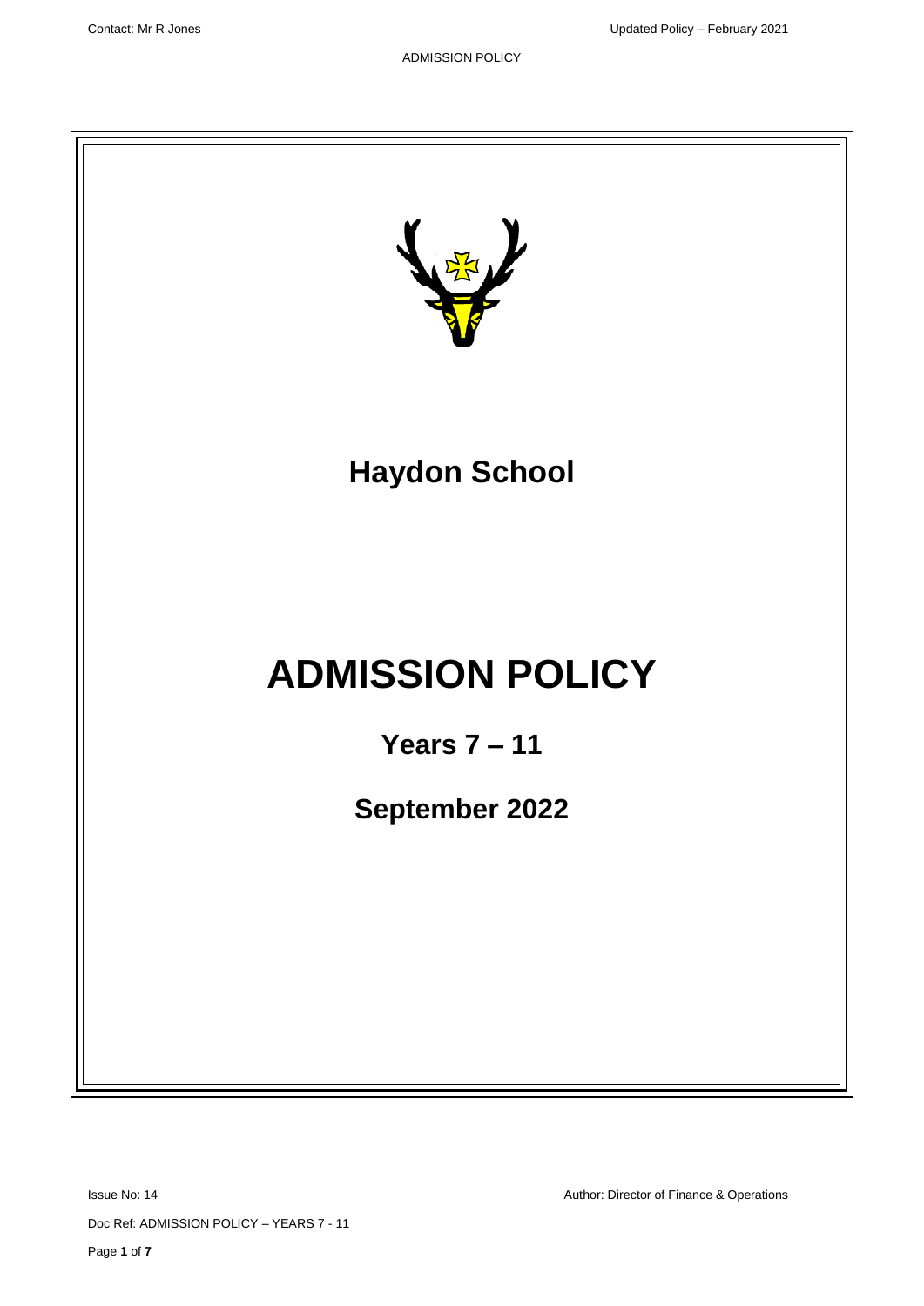

Issue No: 14 Author: Director of Finance & Operations

Doc Ref: ADMISSION POLICY – YEARS 7 - 11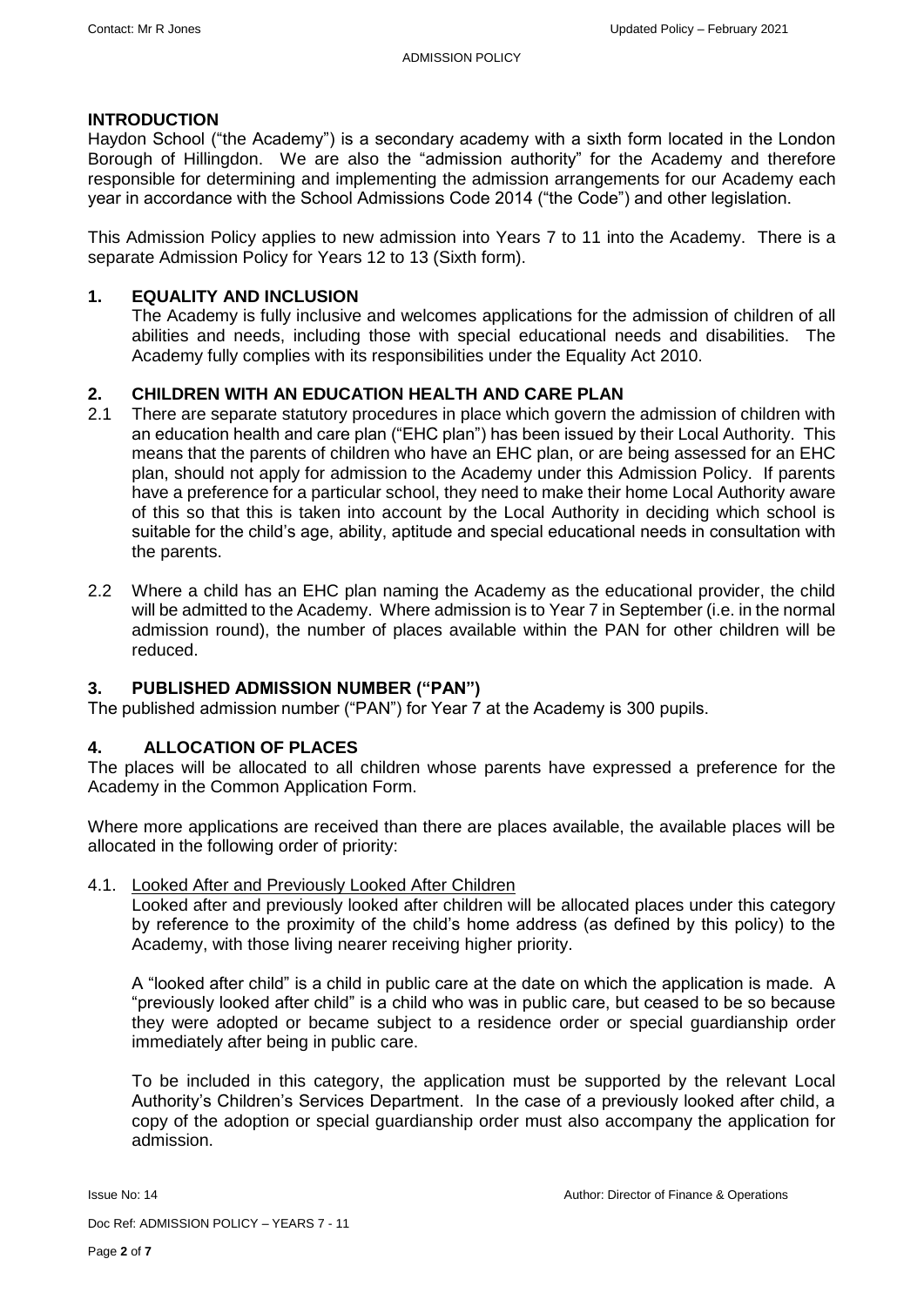### **INTRODUCTION**

Haydon School ("the Academy") is a secondary academy with a sixth form located in the London Borough of Hillingdon. We are also the "admission authority" for the Academy and therefore responsible for determining and implementing the admission arrangements for our Academy each year in accordance with the School Admissions Code 2014 ("the Code") and other legislation.

This Admission Policy applies to new admission into Years 7 to 11 into the Academy. There is a separate Admission Policy for Years 12 to 13 (Sixth form).

### **1. EQUALITY AND INCLUSION**

The Academy is fully inclusive and welcomes applications for the admission of children of all abilities and needs, including those with special educational needs and disabilities. The Academy fully complies with its responsibilities under the Equality Act 2010.

### **2. CHILDREN WITH AN EDUCATION HEALTH AND CARE PLAN**

- 2.1 There are separate statutory procedures in place which govern the admission of children with an education health and care plan ("EHC plan") has been issued by their Local Authority. This means that the parents of children who have an EHC plan, or are being assessed for an EHC plan, should not apply for admission to the Academy under this Admission Policy. If parents have a preference for a particular school, they need to make their home Local Authority aware of this so that this is taken into account by the Local Authority in deciding which school is suitable for the child's age, ability, aptitude and special educational needs in consultation with the parents.
- 2.2 Where a child has an EHC plan naming the Academy as the educational provider, the child will be admitted to the Academy. Where admission is to Year 7 in September (i.e. in the normal admission round), the number of places available within the PAN for other children will be reduced.

### **3. PUBLISHED ADMISSION NUMBER ("PAN")**

The published admission number ("PAN") for Year 7 at the Academy is 300 pupils.

### **4. ALLOCATION OF PLACES**

The places will be allocated to all children whose parents have expressed a preference for the Academy in the Common Application Form.

Where more applications are received than there are places available, the available places will be allocated in the following order of priority:

### 4.1. Looked After and Previously Looked After Children

Looked after and previously looked after children will be allocated places under this category by reference to the proximity of the child's home address (as defined by this policy) to the Academy, with those living nearer receiving higher priority.

A "looked after child" is a child in public care at the date on which the application is made. A "previously looked after child" is a child who was in public care, but ceased to be so because they were adopted or became subject to a residence order or special guardianship order immediately after being in public care.

To be included in this category, the application must be supported by the relevant Local Authority's Children's Services Department. In the case of a previously looked after child, a copy of the adoption or special guardianship order must also accompany the application for admission.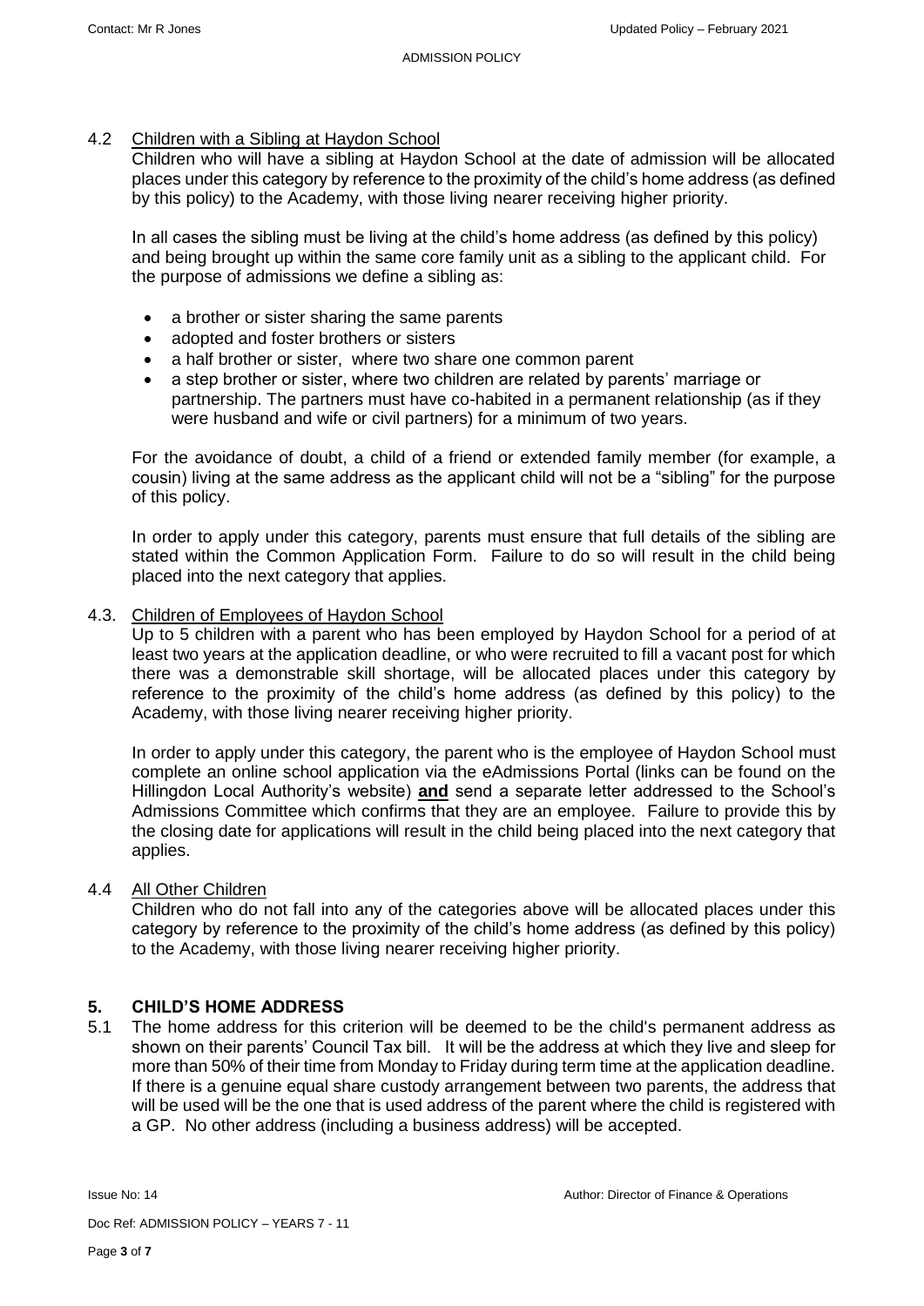### 4.2 Children with a Sibling at Haydon School

Children who will have a sibling at Haydon School at the date of admission will be allocated places under this category by reference to the proximity of the child's home address (as defined by this policy) to the Academy, with those living nearer receiving higher priority.

In all cases the sibling must be living at the child's home address (as defined by this policy) and being brought up within the same core family unit as a sibling to the applicant child. For the purpose of admissions we define a sibling as:

- a brother or sister sharing the same parents
- adopted and foster brothers or sisters
- a half brother or sister, where two share one common parent
- a step brother or sister, where two children are related by parents' marriage or partnership. The partners must have co-habited in a permanent relationship (as if they were husband and wife or civil partners) for a minimum of two years.

For the avoidance of doubt, a child of a friend or extended family member (for example, a cousin) living at the same address as the applicant child will not be a "sibling" for the purpose of this policy.

In order to apply under this category, parents must ensure that full details of the sibling are stated within the Common Application Form. Failure to do so will result in the child being placed into the next category that applies.

### 4.3. Children of Employees of Haydon School

Up to 5 children with a parent who has been employed by Haydon School for a period of at least two years at the application deadline, or who were recruited to fill a vacant post for which there was a demonstrable skill shortage, will be allocated places under this category by reference to the proximity of the child's home address (as defined by this policy) to the Academy, with those living nearer receiving higher priority.

In order to apply under this category, the parent who is the employee of Haydon School must complete an online school application via the eAdmissions Portal (links can be found on the Hillingdon Local Authority's website) **and** send a separate letter addressed to the School's Admissions Committee which confirms that they are an employee. Failure to provide this by the closing date for applications will result in the child being placed into the next category that applies.

### 4.4 All Other Children

Children who do not fall into any of the categories above will be allocated places under this category by reference to the proximity of the child's home address (as defined by this policy) to the Academy, with those living nearer receiving higher priority.

# **5. CHILD'S HOME ADDRESS**

5.1 The home address for this criterion will be deemed to be the child's permanent address as shown on their parents' Council Tax bill. It will be the address at which they live and sleep for more than 50% of their time from Monday to Friday during term time at the application deadline. If there is a genuine equal share custody arrangement between two parents, the address that will be used will be the one that is used address of the parent where the child is registered with a GP. No other address (including a business address) will be accepted.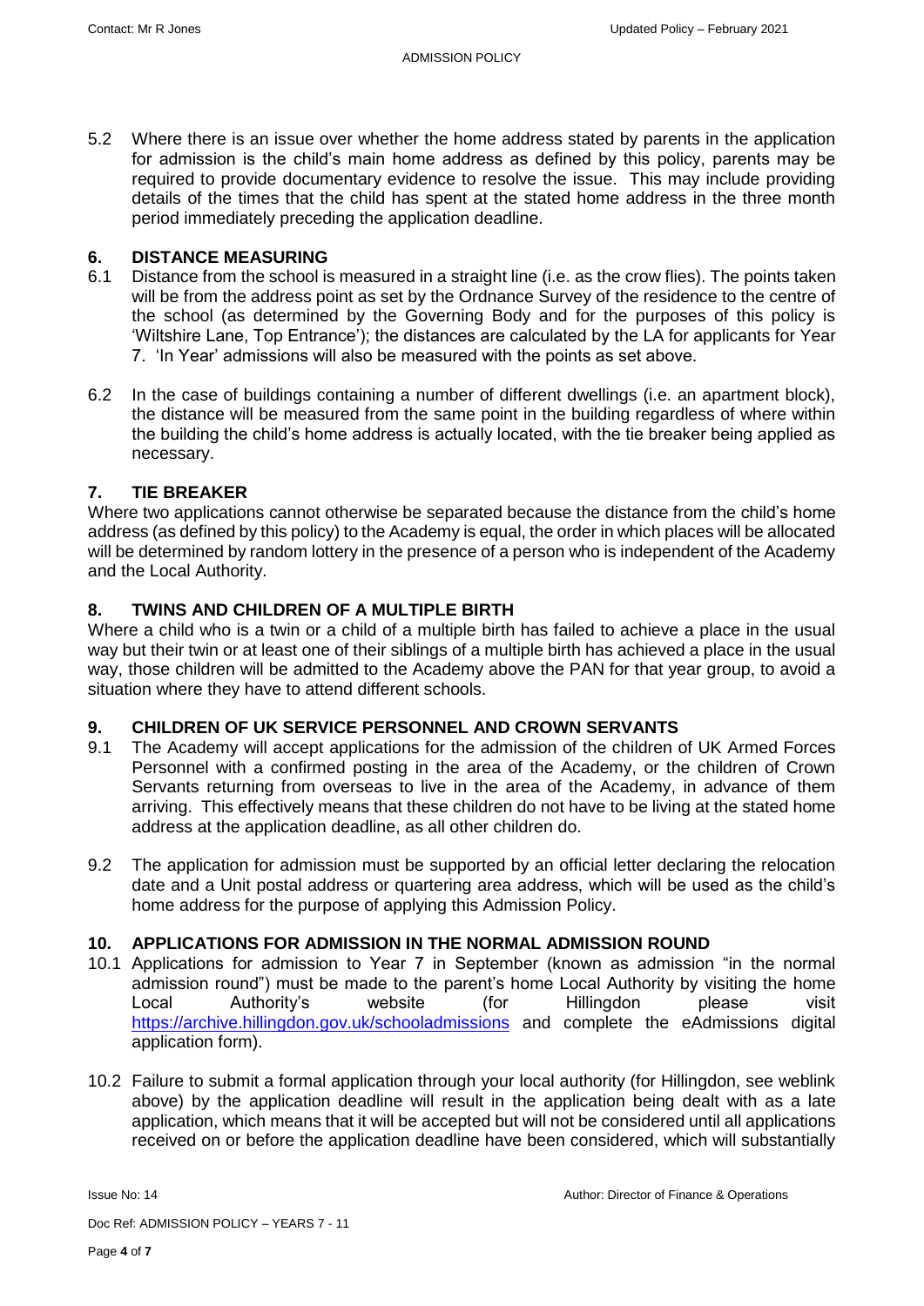5.2 Where there is an issue over whether the home address stated by parents in the application for admission is the child's main home address as defined by this policy, parents may be required to provide documentary evidence to resolve the issue. This may include providing details of the times that the child has spent at the stated home address in the three month period immediately preceding the application deadline.

# **6. DISTANCE MEASURING**

- 6.1 Distance from the school is measured in a straight line (i.e. as the crow flies). The points taken will be from the address point as set by the Ordnance Survey of the residence to the centre of the school (as determined by the Governing Body and for the purposes of this policy is 'Wiltshire Lane, Top Entrance'); the distances are calculated by the LA for applicants for Year 7. 'In Year' admissions will also be measured with the points as set above.
- 6.2 In the case of buildings containing a number of different dwellings (i.e. an apartment block), the distance will be measured from the same point in the building regardless of where within the building the child's home address is actually located, with the tie breaker being applied as necessary.

# **7. TIE BREAKER**

Where two applications cannot otherwise be separated because the distance from the child's home address (as defined by this policy) to the Academy is equal, the order in which places will be allocated will be determined by random lottery in the presence of a person who is independent of the Academy and the Local Authority.

## **8. TWINS AND CHILDREN OF A MULTIPLE BIRTH**

Where a child who is a twin or a child of a multiple birth has failed to achieve a place in the usual way but their twin or at least one of their siblings of a multiple birth has achieved a place in the usual way, those children will be admitted to the Academy above the PAN for that year group, to avoid a situation where they have to attend different schools.

### **9. CHILDREN OF UK SERVICE PERSONNEL AND CROWN SERVANTS**

- 9.1 The Academy will accept applications for the admission of the children of UK Armed Forces Personnel with a confirmed posting in the area of the Academy, or the children of Crown Servants returning from overseas to live in the area of the Academy, in advance of them arriving. This effectively means that these children do not have to be living at the stated home address at the application deadline, as all other children do.
- 9.2 The application for admission must be supported by an official letter declaring the relocation date and a Unit postal address or quartering area address, which will be used as the child's home address for the purpose of applying this Admission Policy.

### **10. APPLICATIONS FOR ADMISSION IN THE NORMAL ADMISSION ROUND**

- 10.1 Applications for admission to Year 7 in September (known as admission "in the normal admission round") must be made to the parent's home Local Authority by visiting the home Local Authority's website (for Hillingdon please visit <https://archive.hillingdon.gov.uk/schooladmissions> and complete the eAdmissions digital application form).
- 10.2 Failure to submit a formal application through your local authority (for Hillingdon, see weblink above) by the application deadline will result in the application being dealt with as a late application, which means that it will be accepted but will not be considered until all applications received on or before the application deadline have been considered, which will substantially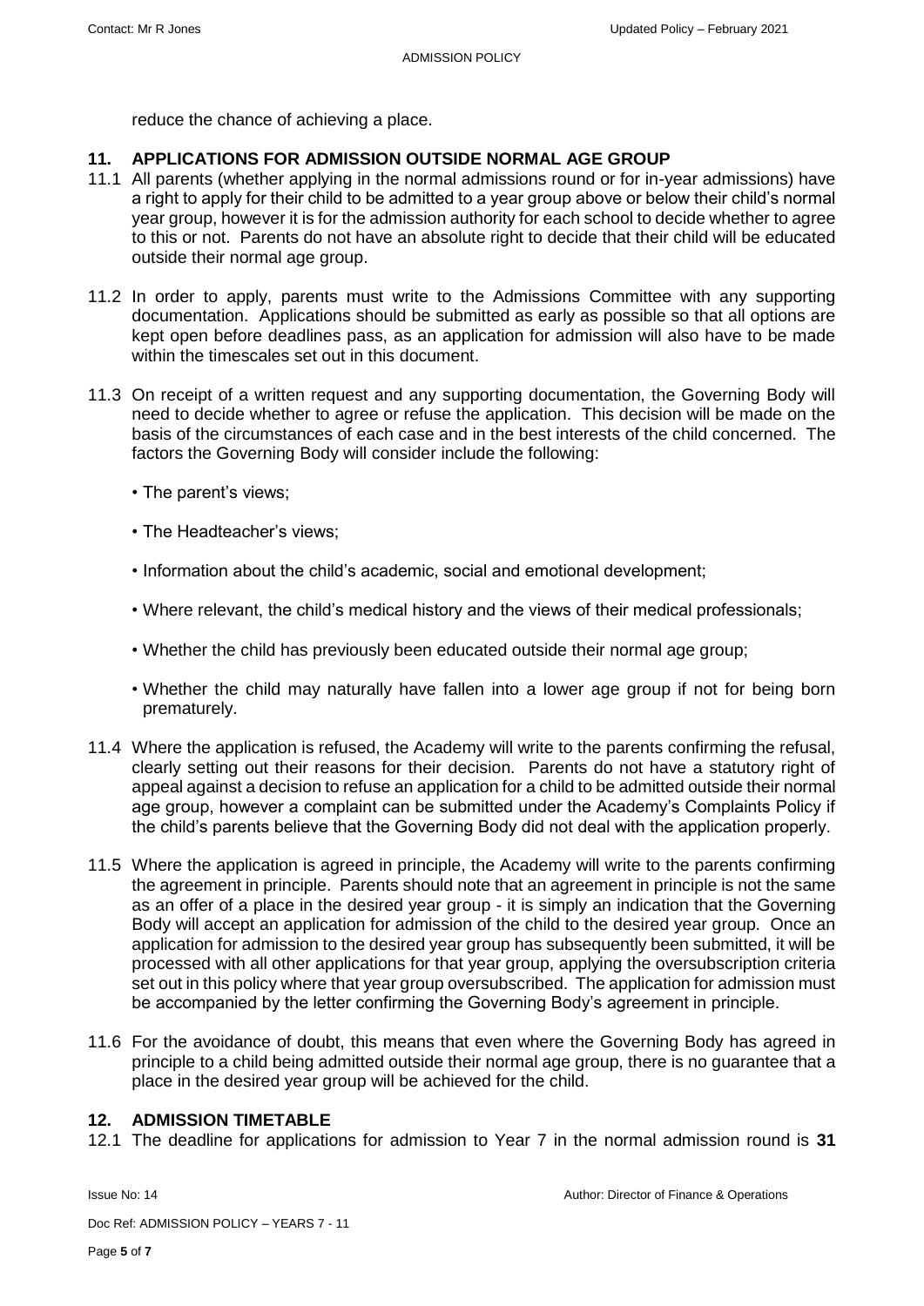reduce the chance of achieving a place.

## **11. APPLICATIONS FOR ADMISSION OUTSIDE NORMAL AGE GROUP**

- 11.1 All parents (whether applying in the normal admissions round or for in-year admissions) have a right to apply for their child to be admitted to a year group above or below their child's normal year group, however it is for the admission authority for each school to decide whether to agree to this or not. Parents do not have an absolute right to decide that their child will be educated outside their normal age group.
- 11.2 In order to apply, parents must write to the Admissions Committee with any supporting documentation. Applications should be submitted as early as possible so that all options are kept open before deadlines pass, as an application for admission will also have to be made within the timescales set out in this document.
- 11.3 On receipt of a written request and any supporting documentation, the Governing Body will need to decide whether to agree or refuse the application. This decision will be made on the basis of the circumstances of each case and in the best interests of the child concerned. The factors the Governing Body will consider include the following:
	- The parent's views;
	- The Headteacher's views;
	- Information about the child's academic, social and emotional development;
	- Where relevant, the child's medical history and the views of their medical professionals;
	- Whether the child has previously been educated outside their normal age group;
	- Whether the child may naturally have fallen into a lower age group if not for being born prematurely.
- 11.4 Where the application is refused, the Academy will write to the parents confirming the refusal, clearly setting out their reasons for their decision. Parents do not have a statutory right of appeal against a decision to refuse an application for a child to be admitted outside their normal age group, however a complaint can be submitted under the Academy's Complaints Policy if the child's parents believe that the Governing Body did not deal with the application properly.
- 11.5 Where the application is agreed in principle, the Academy will write to the parents confirming the agreement in principle. Parents should note that an agreement in principle is not the same as an offer of a place in the desired year group - it is simply an indication that the Governing Body will accept an application for admission of the child to the desired year group. Once an application for admission to the desired year group has subsequently been submitted, it will be processed with all other applications for that year group, applying the oversubscription criteria set out in this policy where that year group oversubscribed. The application for admission must be accompanied by the letter confirming the Governing Body's agreement in principle.
- 11.6 For the avoidance of doubt, this means that even where the Governing Body has agreed in principle to a child being admitted outside their normal age group, there is no guarantee that a place in the desired year group will be achieved for the child.

### **12. ADMISSION TIMETABLE**

12.1 The deadline for applications for admission to Year 7 in the normal admission round is **31** 

Doc Ref: ADMISSION POLICY – YEARS 7 - 11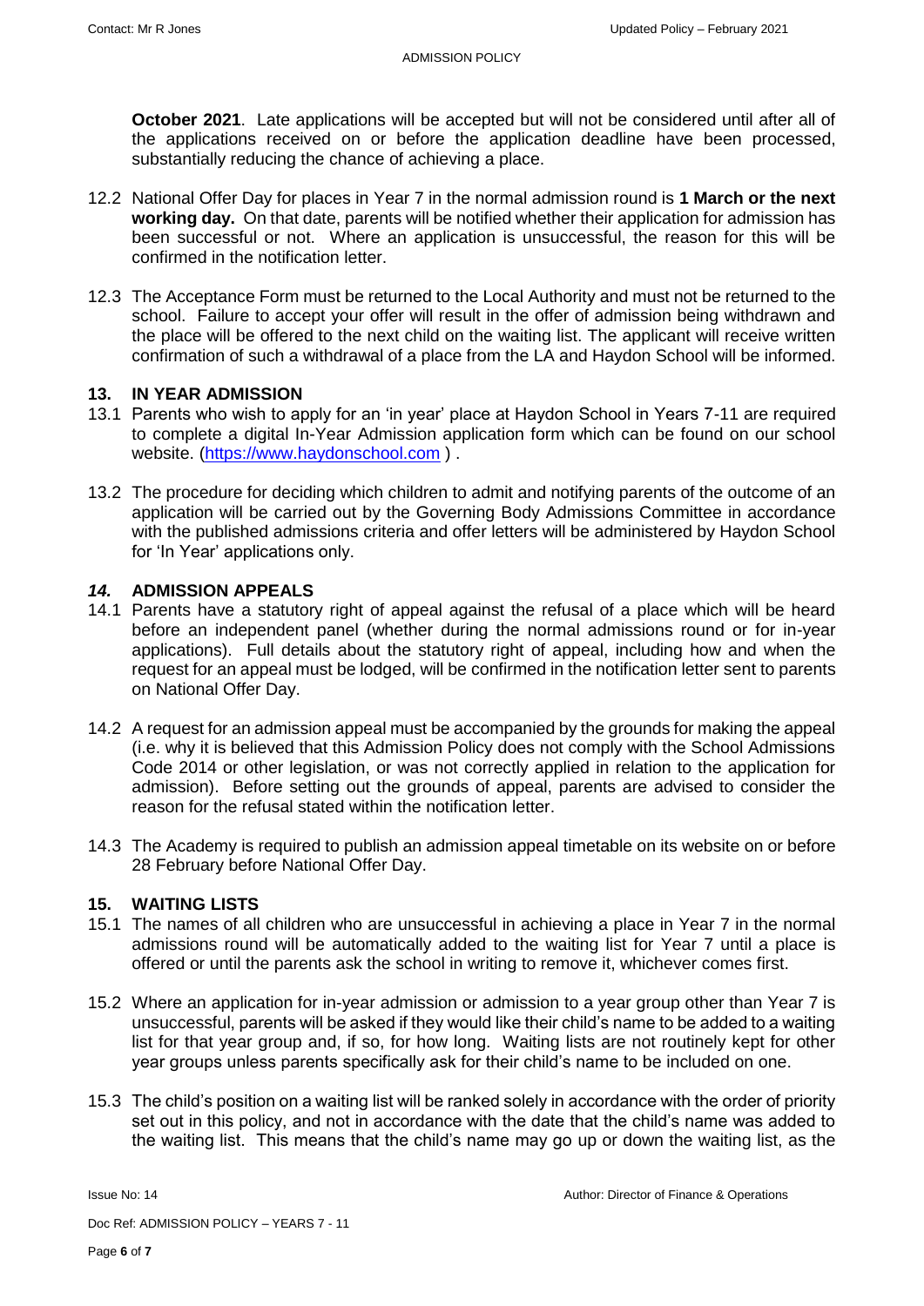**October 2021**. Late applications will be accepted but will not be considered until after all of the applications received on or before the application deadline have been processed, substantially reducing the chance of achieving a place.

- 12.2 National Offer Day for places in Year 7 in the normal admission round is **1 March or the next working day.** On that date, parents will be notified whether their application for admission has been successful or not. Where an application is unsuccessful, the reason for this will be confirmed in the notification letter.
- 12.3 The Acceptance Form must be returned to the Local Authority and must not be returned to the school. Failure to accept your offer will result in the offer of admission being withdrawn and the place will be offered to the next child on the waiting list. The applicant will receive written confirmation of such a withdrawal of a place from the LA and Haydon School will be informed.

## **13. IN YEAR ADMISSION**

- 13.1 Parents who wish to apply for an 'in year' place at Haydon School in Years 7-11 are required to complete a digital In-Year Admission application form which can be found on our school website. [\(https://www.haydonschool.com](https://www.haydonschool.com/) ) .
- 13.2 The procedure for deciding which children to admit and notifying parents of the outcome of an application will be carried out by the Governing Body Admissions Committee in accordance with the published admissions criteria and offer letters will be administered by Haydon School for 'In Year' applications only.

## *14.* **ADMISSION APPEALS**

- 14.1 Parents have a statutory right of appeal against the refusal of a place which will be heard before an independent panel (whether during the normal admissions round or for in-year applications). Full details about the statutory right of appeal, including how and when the request for an appeal must be lodged, will be confirmed in the notification letter sent to parents on National Offer Day.
- 14.2 A request for an admission appeal must be accompanied by the grounds for making the appeal (i.e. why it is believed that this Admission Policy does not comply with the School Admissions Code 2014 or other legislation, or was not correctly applied in relation to the application for admission). Before setting out the grounds of appeal, parents are advised to consider the reason for the refusal stated within the notification letter.
- 14.3 The Academy is required to publish an admission appeal timetable on its website on or before 28 February before National Offer Day.

### **15. WAITING LISTS**

- 15.1 The names of all children who are unsuccessful in achieving a place in Year 7 in the normal admissions round will be automatically added to the waiting list for Year 7 until a place is offered or until the parents ask the school in writing to remove it, whichever comes first.
- 15.2 Where an application for in-year admission or admission to a year group other than Year 7 is unsuccessful, parents will be asked if they would like their child's name to be added to a waiting list for that year group and, if so, for how long. Waiting lists are not routinely kept for other year groups unless parents specifically ask for their child's name to be included on one.
- 15.3 The child's position on a waiting list will be ranked solely in accordance with the order of priority set out in this policy, and not in accordance with the date that the child's name was added to the waiting list. This means that the child's name may go up or down the waiting list, as the